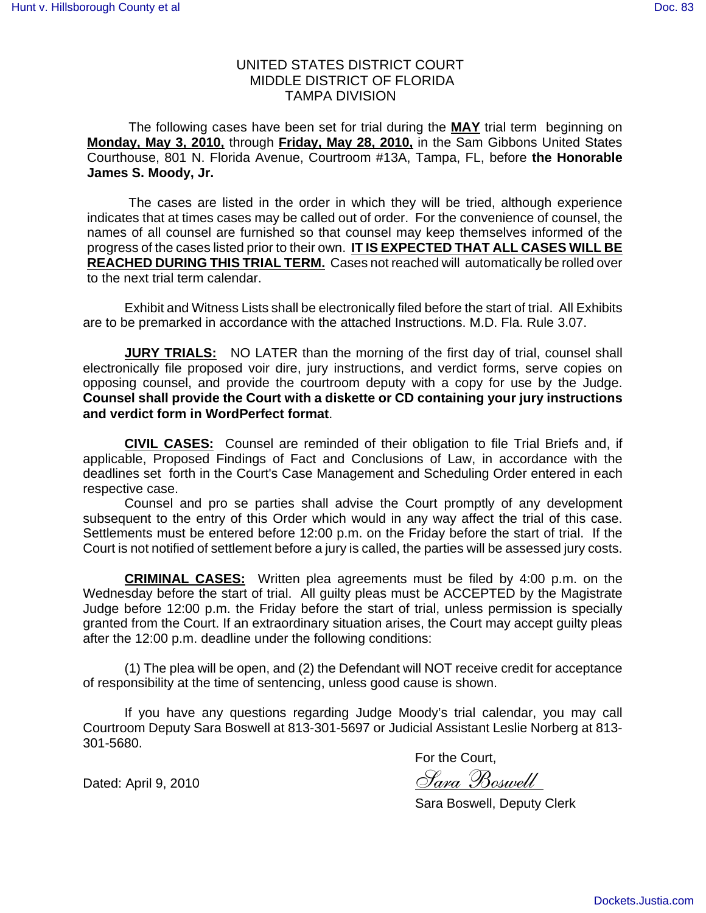## UNITED STATES DISTRICT COURT MIDDLE DISTRICT OF FLORIDA TAMPA DIVISION

The following cases have been set for trial during the **MAY** trial term beginning on **Monday, May 3, 2010,** through **Friday, May 28, 2010,** in the Sam Gibbons United States Courthouse, 801 N. Florida Avenue, Courtroom #13A, Tampa, FL, before **the Honorable James S. Moody, Jr.**

The cases are listed in the order in which they will be tried, although experience indicates that at times cases may be called out of order. For the convenience of counsel, the names of all counsel are furnished so that counsel may keep themselves informed of the progress of the cases listed prior to their own. **IT IS EXPECTED THAT ALL CASES WILL BE REACHED DURING THIS TRIAL TERM.** Cases not reached will automatically be rolled over to the next trial term calendar.

Exhibit and Witness Lists shall be electronically filed before the start of trial. All Exhibits are to be premarked in accordance with the attached Instructions. M.D. Fla. Rule 3.07.

**JURY TRIALS:** NO LATER than the morning of the first day of trial, counsel shall electronically file proposed voir dire, jury instructions, and verdict forms, serve copies on opposing counsel, and provide the courtroom deputy with a copy for use by the Judge. **Counsel shall provide the Court with a diskette or CD containing your jury instructions and verdict form in WordPerfect format**.

**CIVIL CASES:** Counsel are reminded of their obligation to file Trial Briefs and, if applicable, Proposed Findings of Fact and Conclusions of Law, in accordance with the deadlines set forth in the Court's Case Management and Scheduling Order entered in each respective case.

Counsel and pro se parties shall advise the Court promptly of any development subsequent to the entry of this Order which would in any way affect the trial of this case. Settlements must be entered before 12:00 p.m. on the Friday before the start of trial. If the Court is not notified of settlement before a jury is called, the parties will be assessed jury costs.

**CRIMINAL CASES:** Written plea agreements must be filed by 4:00 p.m. on the Wednesday before the start of trial. All guilty pleas must be ACCEPTED by the Magistrate Judge before 12:00 p.m. the Friday before the start of trial, unless permission is specially granted from the Court. If an extraordinary situation arises, the Court may accept guilty pleas after the 12:00 p.m. deadline under the following conditions:

(1) The plea will be open, and (2) the Defendant will NOT receive credit for acceptance of responsibility at the time of sentencing, unless good cause is shown.

If you have any questions regarding Judge Moody's trial calendar, you may call Courtroom Deputy Sara Boswell at 813-301-5697 or Judicial Assistant Leslie Norberg at 813- 301-5680.

For the Court,

Dated: April 9, 2010  $\partial$  Sara Boswell

Sara Boswell, Deputy Clerk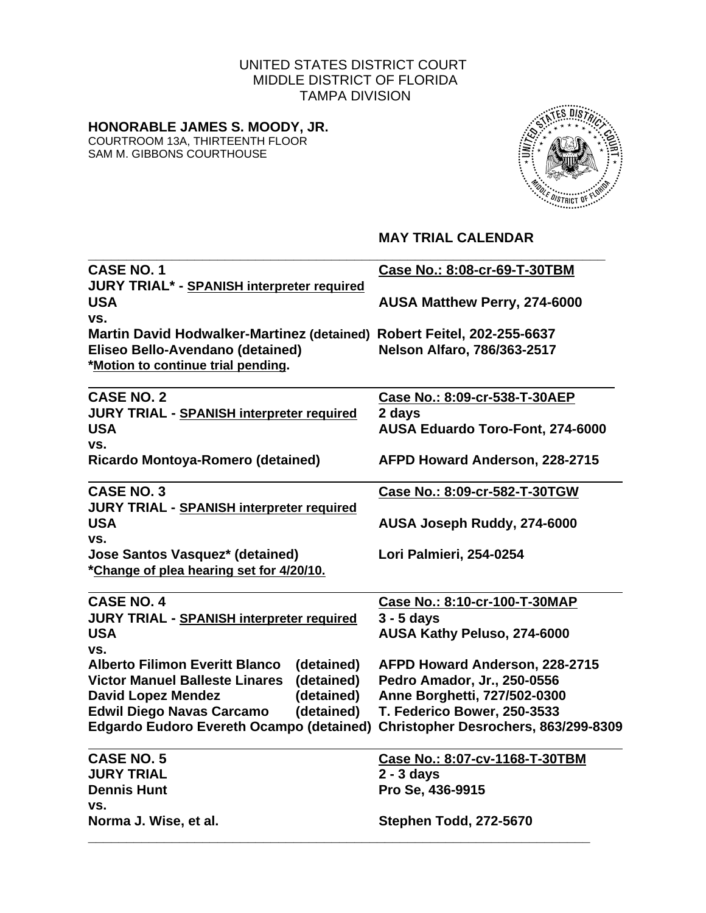# UNITED STATES DISTRICT COURT MIDDLE DISTRICT OF FLORIDA TAMPA DIVISION

# **HONORABLE JAMES S. MOODY, JR.**

COURTROOM 13A, THIRTEENTH FLOOR SAM M. GIBBONS COURTHOUSE



# **MAY TRIAL CALENDAR**

| <b>CASE NO. 1</b>                                                      | Case No.: 8:08-cr-69-T-30TBM            |  |
|------------------------------------------------------------------------|-----------------------------------------|--|
| <b>JURY TRIAL* - SPANISH interpreter required</b>                      |                                         |  |
| <b>USA</b>                                                             | AUSA Matthew Perry, 274-6000            |  |
| VS.                                                                    |                                         |  |
| Martin David Hodwalker-Martinez (detained) Robert Feitel, 202-255-6637 |                                         |  |
| Eliseo Bello-Avendano (detained)                                       | <b>Nelson Alfaro, 786/363-2517</b>      |  |
| *Motion to continue trial pending.                                     |                                         |  |
|                                                                        |                                         |  |
| <b>CASE NO. 2</b>                                                      | Case No.: 8:09-cr-538-T-30AEP           |  |
| <b>JURY TRIAL - SPANISH interpreter required</b>                       | 2 days                                  |  |
| <b>USA</b>                                                             | <b>AUSA Eduardo Toro-Font, 274-6000</b> |  |
| VS.                                                                    |                                         |  |
| Ricardo Montoya-Romero (detained)                                      | AFPD Howard Anderson, 228-2715          |  |
| <b>CASE NO. 3</b>                                                      | Case No.: 8:09-cr-582-T-30TGW           |  |
| <b>JURY TRIAL - SPANISH interpreter required</b>                       |                                         |  |
| <b>USA</b>                                                             | AUSA Joseph Ruddy, 274-6000             |  |
| VS.                                                                    |                                         |  |
| <b>Jose Santos Vasquez* (detained)</b>                                 | Lori Palmieri, 254-0254                 |  |
| *Change of plea hearing set for 4/20/10.                               |                                         |  |
|                                                                        |                                         |  |
| <b>CASE NO. 4</b>                                                      | Case No.: 8:10-cr-100-T-30MAP           |  |
| <b>JURY TRIAL - SPANISH interpreter required</b>                       | $3 - 5$ days                            |  |
| <b>USA</b>                                                             | AUSA Kathy Peluso, 274-6000             |  |
| VS.                                                                    |                                         |  |
| <b>Alberto Filimon Everitt Blanco</b><br>(detained)                    | AFPD Howard Anderson, 228-2715          |  |
| (detained)<br><b>Victor Manuel Balleste Linares</b>                    | Pedro Amador, Jr., 250-0556             |  |
| (detained)<br><b>David Lopez Mendez</b>                                | Anne Borghetti, 727/502-0300            |  |
| <b>Edwil Diego Navas Carcamo</b><br>(detained)                         | T. Federico Bower, 250-3533             |  |
| <b>Edgardo Eudoro Evereth Ocampo (detained)</b>                        | Christopher Desrochers, 863/299-8309    |  |
| <b>CASE NO. 5</b>                                                      | Case No.: 8:07-cv-1168-T-30TBM          |  |
| <b>JURY TRIAL</b>                                                      | $2 - 3$ days                            |  |
| <b>Dennis Hunt</b>                                                     | Pro Se, 436-9915                        |  |
| VS.                                                                    |                                         |  |
| Norma J. Wise, et al.                                                  | Stephen Todd, 272-5670                  |  |
|                                                                        |                                         |  |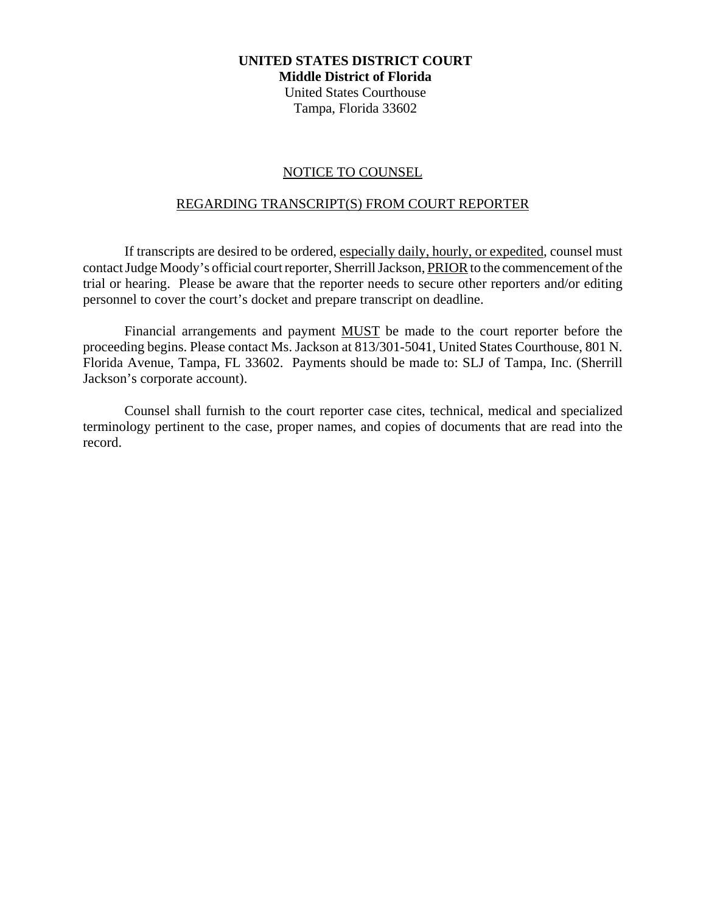### **UNITED STATES DISTRICT COURT Middle District of Florida**

United States Courthouse Tampa, Florida 33602

## NOTICE TO COUNSEL

## REGARDING TRANSCRIPT(S) FROM COURT REPORTER

If transcripts are desired to be ordered, especially daily, hourly, or expedited, counsel must contact Judge Moody's official court reporter, Sherrill Jackson, PRIOR to the commencement of the trial or hearing. Please be aware that the reporter needs to secure other reporters and/or editing personnel to cover the court's docket and prepare transcript on deadline.

Financial arrangements and payment MUST be made to the court reporter before the proceeding begins. Please contact Ms. Jackson at 813/301-5041, United States Courthouse, 801 N. Florida Avenue, Tampa, FL 33602. Payments should be made to: SLJ of Tampa, Inc. (Sherrill Jackson's corporate account).

Counsel shall furnish to the court reporter case cites, technical, medical and specialized terminology pertinent to the case, proper names, and copies of documents that are read into the record.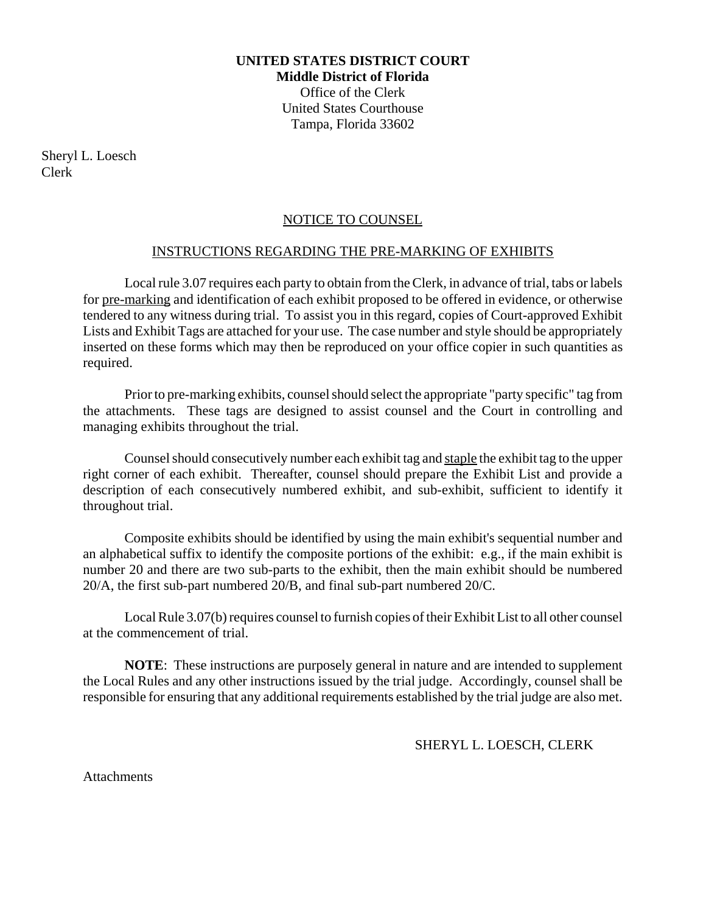# **UNITED STATES DISTRICT COURT Middle District of Florida** Office of the Clerk United States Courthouse Tampa, Florida 33602

Sheryl L. Loesch Clerk

# NOTICE TO COUNSEL

## INSTRUCTIONS REGARDING THE PRE-MARKING OF EXHIBITS

Local rule 3.07 requires each party to obtain from the Clerk, in advance of trial, tabs or labels for pre-marking and identification of each exhibit proposed to be offered in evidence, or otherwise tendered to any witness during trial. To assist you in this regard, copies of Court-approved Exhibit Lists and Exhibit Tags are attached for your use. The case number and style should be appropriately inserted on these forms which may then be reproduced on your office copier in such quantities as required.

Prior to pre-marking exhibits, counsel should select the appropriate "party specific" tag from the attachments. These tags are designed to assist counsel and the Court in controlling and managing exhibits throughout the trial.

Counsel should consecutively number each exhibit tag and staple the exhibit tag to the upper right corner of each exhibit. Thereafter, counsel should prepare the Exhibit List and provide a description of each consecutively numbered exhibit, and sub-exhibit, sufficient to identify it throughout trial.

Composite exhibits should be identified by using the main exhibit's sequential number and an alphabetical suffix to identify the composite portions of the exhibit: e.g., if the main exhibit is number 20 and there are two sub-parts to the exhibit, then the main exhibit should be numbered 20/A, the first sub-part numbered 20/B, and final sub-part numbered 20/C.

Local Rule 3.07(b) requires counsel to furnish copies of their Exhibit List to all other counsel at the commencement of trial.

**NOTE**: These instructions are purposely general in nature and are intended to supplement the Local Rules and any other instructions issued by the trial judge. Accordingly, counsel shall be responsible for ensuring that any additional requirements established by the trial judge are also met.

SHERYL L. LOESCH, CLERK

**Attachments**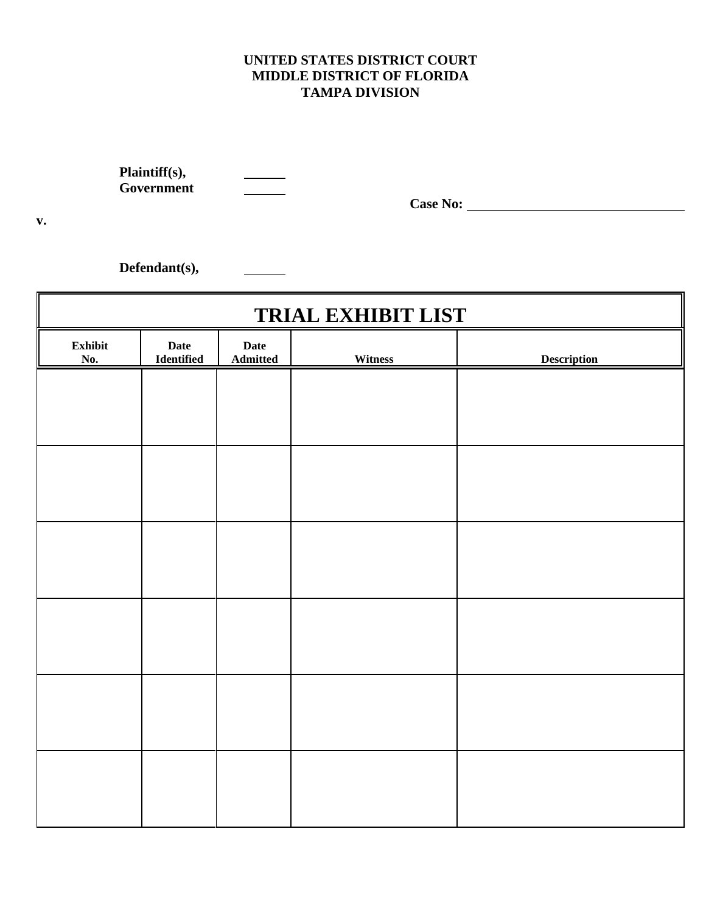# **UNITED STATES DISTRICT COURT MIDDLE DISTRICT OF FLORIDA TAMPA DIVISION**

**Plaintiff(s), Government**

 $\frac{1}{2}$ 

 $\frac{1}{1}$ 

**Case No:** 

**Defendant(s),**

| <b>TRIAL EXHIBIT LIST</b> |                                   |                  |         |                    |
|---------------------------|-----------------------------------|------------------|---------|--------------------|
| Exhibit<br>No.            | <b>Date</b><br>${\bf Identified}$ | Date<br>Admitted | Witness | <b>Description</b> |
|                           |                                   |                  |         |                    |
|                           |                                   |                  |         |                    |
|                           |                                   |                  |         |                    |
|                           |                                   |                  |         |                    |
|                           |                                   |                  |         |                    |
|                           |                                   |                  |         |                    |
|                           |                                   |                  |         |                    |
|                           |                                   |                  |         |                    |
|                           |                                   |                  |         |                    |
|                           |                                   |                  |         |                    |
|                           |                                   |                  |         |                    |
|                           |                                   |                  |         |                    |

**v.**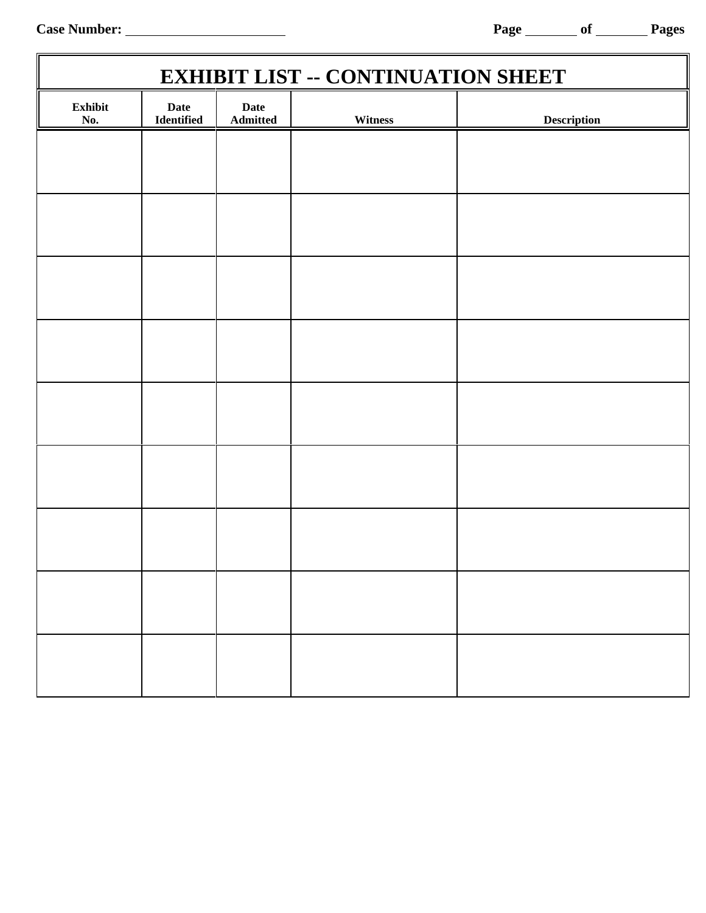Case Number: <u>Number: Page of Page of Pages</u>

a.

| <b>EXHIBIT LIST -- CONTINUATION SHEET</b> |                           |                                |         |                    |
|-------------------------------------------|---------------------------|--------------------------------|---------|--------------------|
| Exhibit<br>No.                            | <b>Date</b><br>Identified | <b>Date</b><br><b>Admitted</b> | Witness | <b>Description</b> |
|                                           |                           |                                |         |                    |
|                                           |                           |                                |         |                    |
|                                           |                           |                                |         |                    |
|                                           |                           |                                |         |                    |
|                                           |                           |                                |         |                    |
|                                           |                           |                                |         |                    |
|                                           |                           |                                |         |                    |
|                                           |                           |                                |         |                    |
|                                           |                           |                                |         |                    |
|                                           |                           |                                |         |                    |
|                                           |                           |                                |         |                    |
|                                           |                           |                                |         |                    |
|                                           |                           |                                |         |                    |
|                                           |                           |                                |         |                    |
|                                           |                           |                                |         |                    |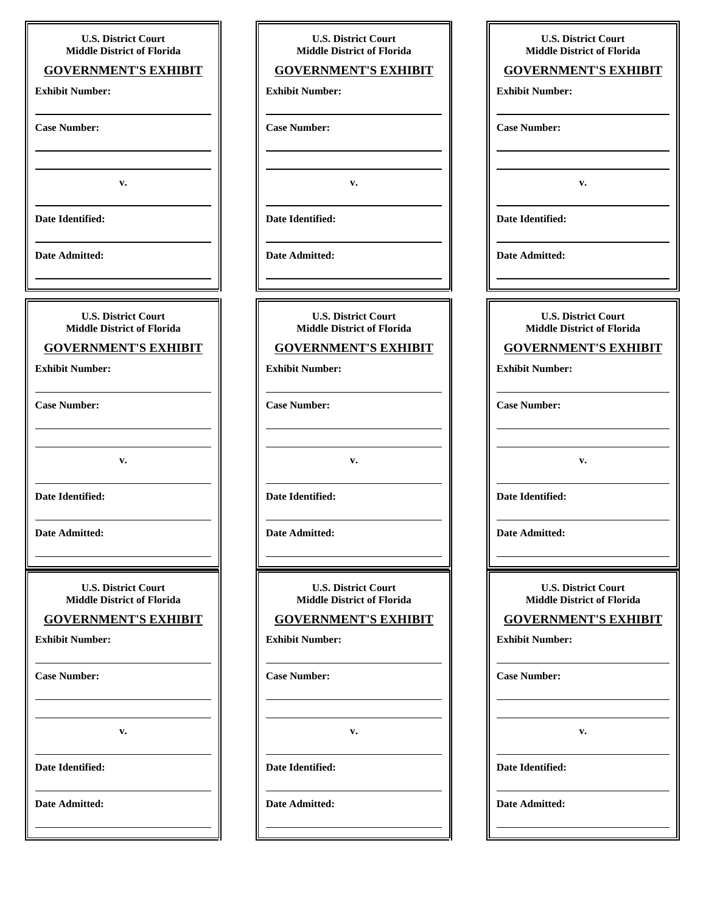| <b>U.S. District Court</b><br><b>Middle District of Florida</b>                    | <b>U.S. District Court</b><br><b>Middle District of Florida</b> |
|------------------------------------------------------------------------------------|-----------------------------------------------------------------|
| <b>GOVERNMENT'S EXHIBIT</b>                                                        | <b>GOVERNMENT'S EXHIBIT</b>                                     |
| <b>Exhibit Number:</b>                                                             | <b>Exhibit Number:</b>                                          |
| <b>Case Number:</b><br>the control of the control of the control of the control of | <b>Case Number:</b>                                             |
| v.                                                                                 | v.                                                              |
| Date Identified:                                                                   | Date Identified:                                                |
| <b>Date Admitted:</b>                                                              | <b>Date Admitted:</b>                                           |
|                                                                                    |                                                                 |
| <b>U.S. District Court</b><br><b>Middle District of Florida</b>                    | <b>U.S. District Court</b><br><b>Middle District of Florida</b> |
| <b>GOVERNMENT'S EXHIBIT</b>                                                        | <b>GOVERNMENT'S EXHIBIT</b>                                     |
| <b>Exhibit Number:</b>                                                             | <b>Exhibit Number:</b>                                          |
| <b>Case Number:</b>                                                                | <b>Case Number:</b>                                             |
| v.                                                                                 | v.                                                              |
| Date Identified:                                                                   | Date Identified:                                                |
| Date Admitted:                                                                     | Date Admitted:                                                  |
|                                                                                    |                                                                 |
| <b>U.S. District Court</b>                                                         | <b>U.S. District Court</b>                                      |
| <b>Middle District of Florida</b>                                                  | <b>Middle District of Florida</b>                               |
| <b>GOVERNMENT'S EXHIBIT</b>                                                        | <b>GOVERNMENT'S EXHIBIT</b>                                     |
| <b>Exhibit Number:</b>                                                             | <b>Exhibit Number:</b>                                          |
| <b>Case Number:</b>                                                                | <b>Case Number:</b>                                             |
| v.                                                                                 | v.                                                              |
| Date Identified:                                                                   | Date Identified:                                                |

|                       | <b>U.S. District Court</b>                    |
|-----------------------|-----------------------------------------------|
|                       | <b>Middle District of Florida</b>             |
|                       | <b>GOVERNMENT'S EXHIBIT</b>                   |
|                       | <b>Exhibit Number:</b>                        |
|                       |                                               |
| <b>Case Number:</b>   |                                               |
|                       |                                               |
|                       |                                               |
|                       | v.                                            |
|                       |                                               |
| Date Identified:      |                                               |
|                       |                                               |
| <b>Date Admitted:</b> |                                               |
|                       | <u> 1989 - Andrea Andrew Maria (h. 1989).</u> |
|                       |                                               |
|                       | <b>U.S. District Court</b>                    |
|                       | <b>Middle District of Florida</b>             |
|                       | <b>GOVERNMENT'S EXHIBIT</b>                   |
|                       | <b>Exhibit Number:</b>                        |
|                       |                                               |
| <b>Case Number:</b>   |                                               |
|                       |                                               |
|                       |                                               |
|                       | v.                                            |
|                       |                                               |
| Date Identified:      |                                               |
|                       |                                               |
| Date Admitted:        |                                               |
|                       |                                               |
|                       |                                               |
|                       | <b>U.S. District Court</b>                    |
|                       | <b>Middle District of Florida</b>             |
|                       | <b>GOVERNMENT'S EXHIBIT</b>                   |
|                       | <b>Exhibit Number:</b>                        |
|                       |                                               |
| <b>Case Number:</b>   |                                               |
|                       |                                               |
|                       |                                               |
|                       | v.                                            |
|                       |                                               |
|                       | Date Identified:                              |
|                       |                                               |
|                       |                                               |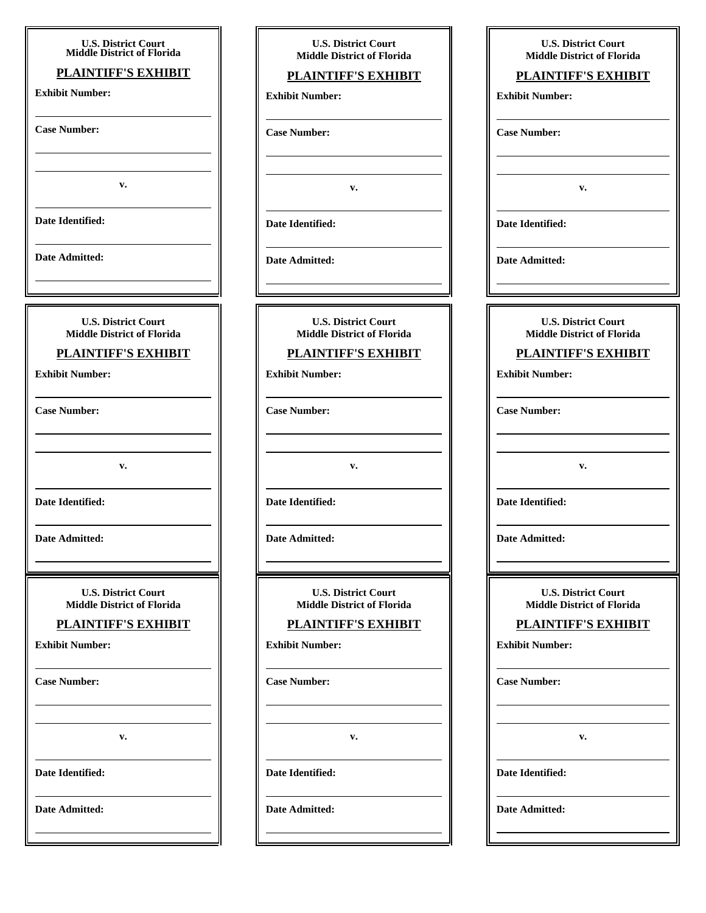| <b>U.S. District Court<br/>Middle District of Florida</b>       | <b>U.S. District Court</b>                                      | <b>U.S. District Court</b>                                      |
|-----------------------------------------------------------------|-----------------------------------------------------------------|-----------------------------------------------------------------|
| <b>PLAINTIFF'S EXHIBIT</b>                                      | <b>Middle District of Florida</b>                               | <b>Middle District of Florida</b>                               |
| <b>Exhibit Number:</b>                                          | <b>PLAINTIFF'S EXHIBIT</b>                                      | <b>PLAINTIFF'S EXHIBIT</b>                                      |
|                                                                 | <b>Exhibit Number:</b>                                          | <b>Exhibit Number:</b>                                          |
| <b>Case Number:</b>                                             | <b>Case Number:</b>                                             | <b>Case Number:</b>                                             |
|                                                                 |                                                                 |                                                                 |
| v.                                                              | $\mathbf{v}$ .                                                  | v.                                                              |
| Date Identified:                                                | Date Identified:                                                | Date Identified:                                                |
| Date Admitted:                                                  | <b>Date Admitted:</b>                                           | Date Admitted:                                                  |
|                                                                 |                                                                 |                                                                 |
| <b>U.S. District Court</b><br><b>Middle District of Florida</b> | <b>U.S. District Court</b><br><b>Middle District of Florida</b> | <b>U.S. District Court</b><br><b>Middle District of Florida</b> |
| <b>PLAINTIFF'S EXHIBIT</b>                                      | <b>PLAINTIFF'S EXHIBIT</b>                                      | <b>PLAINTIFF'S EXHIBIT</b>                                      |
|                                                                 |                                                                 |                                                                 |
| <b>Exhibit Number:</b>                                          | <b>Exhibit Number:</b>                                          | <b>Exhibit Number:</b>                                          |
| <b>Case Number:</b>                                             | <b>Case Number:</b>                                             | <b>Case Number:</b>                                             |
|                                                                 |                                                                 |                                                                 |
| v.                                                              | v.                                                              | v.                                                              |
| Date Identified:                                                | Date Identified:                                                | Date Identified:                                                |
| Date Admitted:                                                  | Date Admitted:                                                  | Date Admitted:                                                  |
|                                                                 |                                                                 |                                                                 |
| <b>U.S. District Court</b><br><b>Middle District of Florida</b> | <b>U.S. District Court</b><br><b>Middle District of Florida</b> | <b>U.S. District Court</b><br><b>Middle District of Florida</b> |
| <b>PLAINTIFF'S EXHIBIT</b>                                      | <b>PLAINTIFF'S EXHIBIT</b>                                      | <b>PLAINTIFF'S EXHIBIT</b>                                      |
| <b>Exhibit Number:</b>                                          | <b>Exhibit Number:</b>                                          | <b>Exhibit Number:</b>                                          |
| <b>Case Number:</b>                                             | <b>Case Number:</b>                                             | <b>Case Number:</b>                                             |
|                                                                 |                                                                 |                                                                 |
| v.                                                              | v.                                                              | v.                                                              |
| Date Identified:                                                | <b>Date Identified:</b>                                         | Date Identified:                                                |
| Date Admitted:                                                  | Date Admitted:                                                  | Date Admitted:                                                  |
|                                                                 |                                                                 |                                                                 |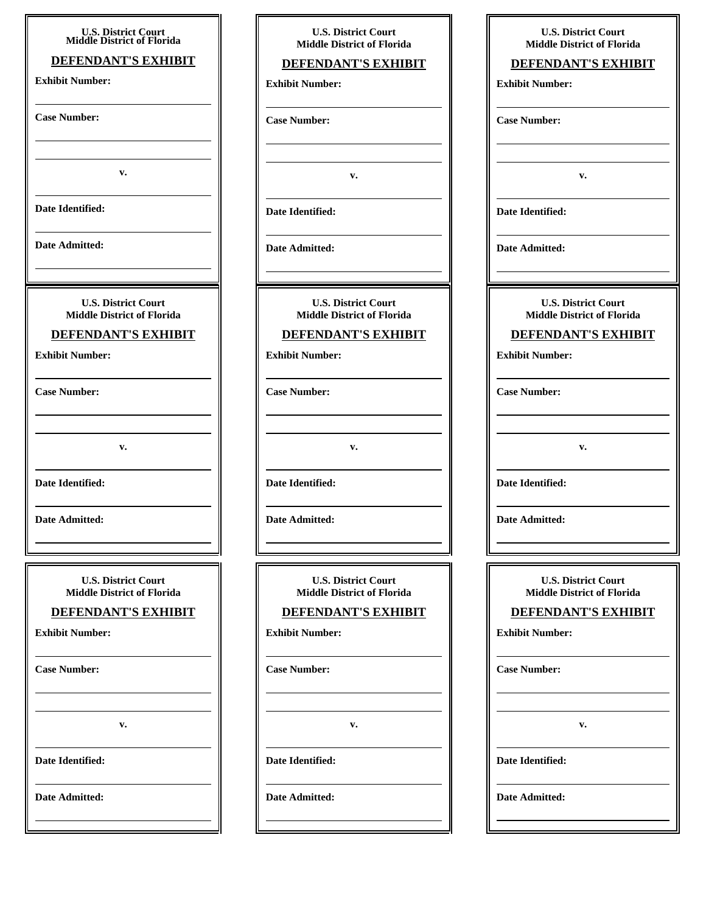| <b>U.S. District Court</b>            |  |
|---------------------------------------|--|
| <b>Middle District of Florida</b>     |  |
| <b>DEFENDANT'S EXHIBIT</b>            |  |
| <b>Exhibit Number:</b>                |  |
|                                       |  |
| <b>Case Number:</b>                   |  |
|                                       |  |
|                                       |  |
|                                       |  |
| v.                                    |  |
|                                       |  |
| <b>Date Identified:</b>               |  |
|                                       |  |
| Date Admitted:                        |  |
|                                       |  |
|                                       |  |
| <b>U.S. District Court</b>            |  |
| <b>Middle District of Florida</b>     |  |
| <b>DEFENDANT'S EXHIBIT</b>            |  |
|                                       |  |
| <b>Exhibit Number:</b>                |  |
|                                       |  |
| <b>Case Number:</b>                   |  |
|                                       |  |
|                                       |  |
| v.                                    |  |
| and the control of the control of the |  |
| <b>Date Identified:</b>               |  |
|                                       |  |
| Date Admitted:                        |  |
|                                       |  |
|                                       |  |
|                                       |  |
| <b>U.S. District Court</b>            |  |
| <b>Middle District of Florida</b>     |  |
| <b>DEFENDANT'S EXHIBIT</b>            |  |
| <b>Exhibit Number:</b>                |  |
|                                       |  |
| <b>Case Number:</b>                   |  |
|                                       |  |
|                                       |  |
|                                       |  |
| v.                                    |  |
|                                       |  |
| Date Identified:                      |  |
|                                       |  |
| <b>Date Admitted:</b>                 |  |
|                                       |  |
|                                       |  |

| <b>U.S. District Court</b><br>Middle District of Florida |
|----------------------------------------------------------|
| <b>DEFENDANT'S EXHIBIT</b>                               |
| <b>Exhibit Number:</b>                                   |
|                                                          |
| <b>Case Number:</b>                                      |

**v.**

**U.S. District Court Middle District of Florida DEFENDANT'S EXHIBIT**

**v.**

**U.S. District Court Middle District of Florida DEFENDANT'S EXHIBIT**

**Date Identified:**

**Date Admitted:**

**Exhibit Number:**

**Case Number:**

**Date Identified:**

**Date Admitted:**

**U.S. District Court Middle District of Florida**

### **DEFENDANT'S EXHIBIT**

**Exhibit Number:**

**Case Number:**

**v.**

**Date Identified:**

**Date Admitted:**

**U.S. District Court Middle District of Florida**

#### **DEFENDANT'S EXHIBIT**

**v.**

**Exhibit Number:**

**Case Number:**

**Date Identified:**

**Date Admitted:**

**U.S. District Court Middle District of Florida**

#### **DEFENDANT'S EXHIBIT**

**Exhibit Number:**

**Case Number:**

**v.**

**Date Identified:**

**Date Admitted:**

**Case Number:**

**Exhibit Number:**

**v.**

**Date Identified:**

**Date Admitted:**